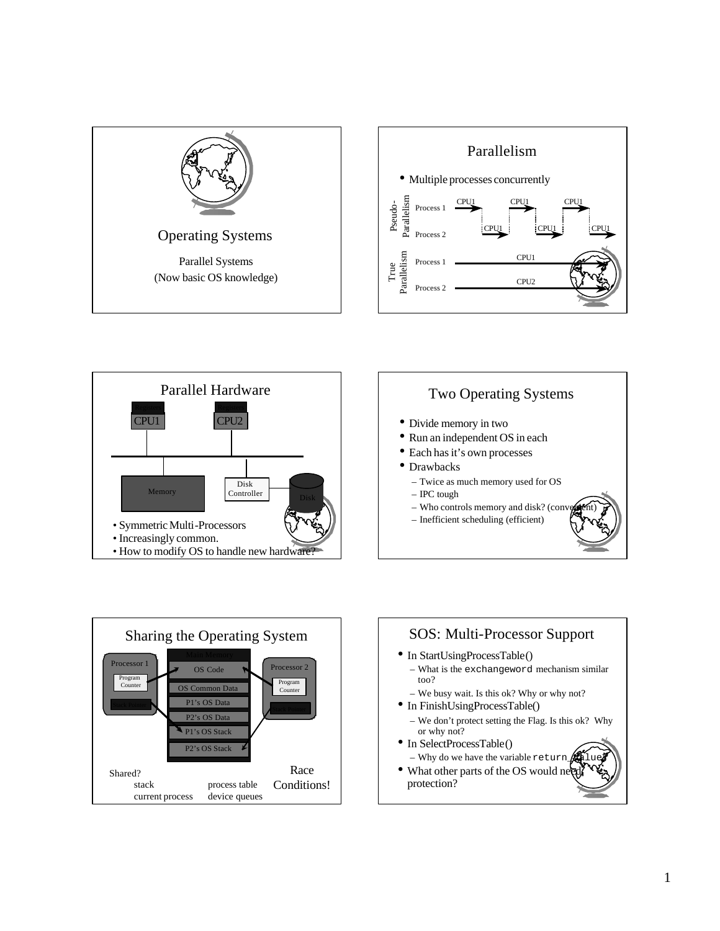









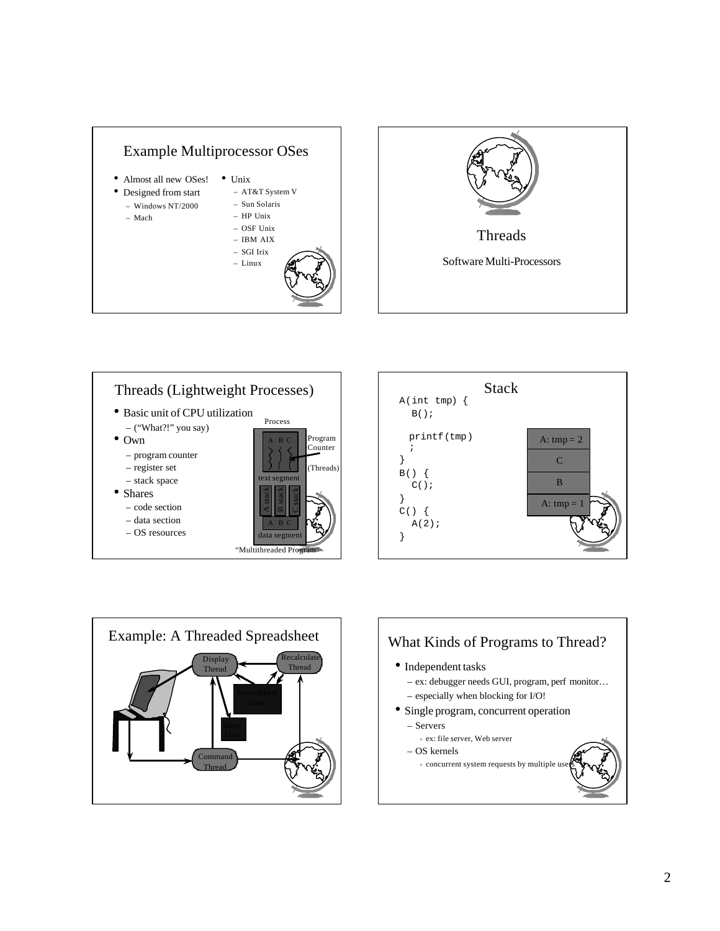